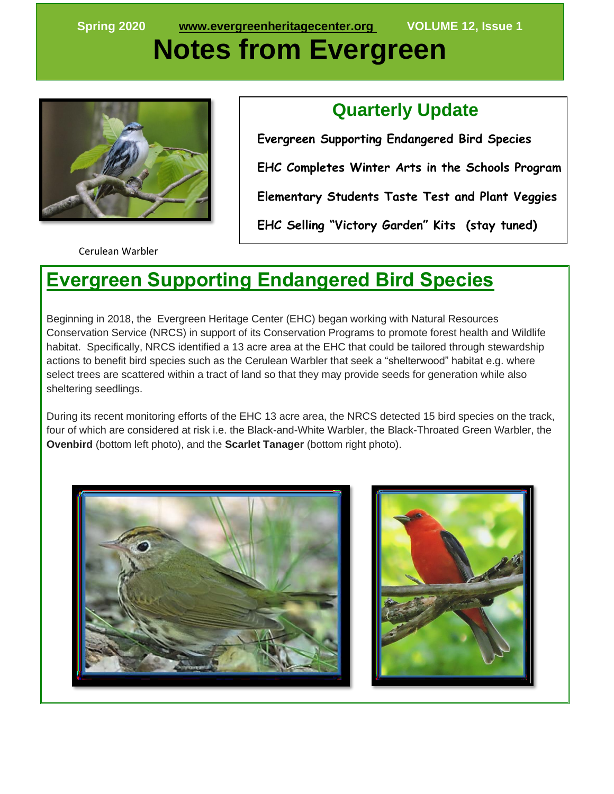# **Notes from Evergreen**



### **Quarterly Update**

 **Evergreen Supporting Endangered Bird Species EHC Completes Winter Arts in the Schools Program Elementary Students Taste Test and Plant Veggies EHC Selling "Victory Garden" Kits (stay tuned)**

Cerulean Warbler

### **Evergreen Supporting Endangered Bird Species**

l

Beginning in 2018, the Evergreen Heritage Center (EHC) began working with Natural Resources Conservation Service (NRCS) in support of its Conservation Programs to promote forest health and Wildlife habitat. Specifically, NRCS identified a 13 acre area at the EHC that could be tailored through stewardship actions to benefit bird species such as the Cerulean Warbler that seek a "shelterwood" habitat e.g. where select trees are scattered within a tract of land so that they may provide seeds for generation while also sheltering seedlings.

During its recent monitoring efforts of the EHC 13 acre area, the NRCS detected 15 bird species on the track, four of which are considered at risk i.e. the Black-and-White Warbler, the Black-Throated Green Warbler, the **Ovenbird** (bottom left photo), and the **Scarlet Tanager** (bottom right photo).



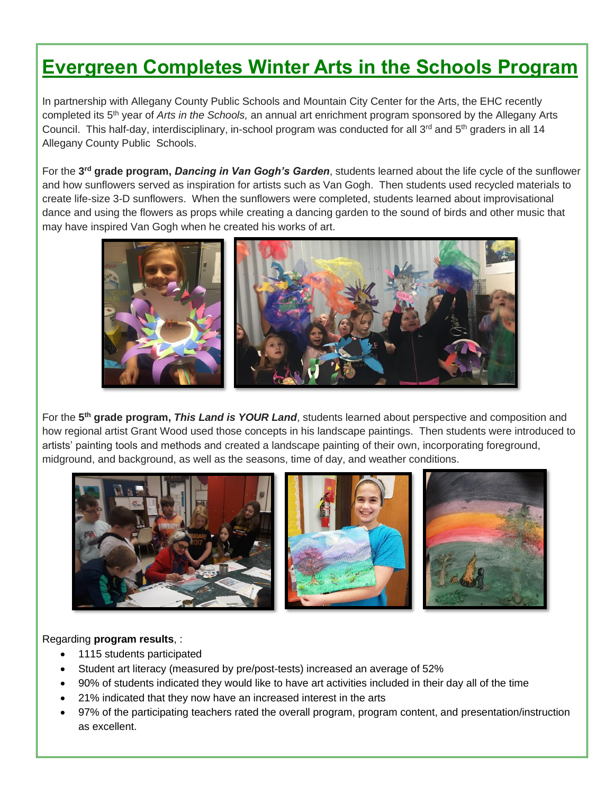## **Evergreen Completes Winter Arts in the Schools Program**

In partnership with Allegany County Public Schools and Mountain City Center for the Arts, the EHC recently completed its 5th year of *Arts in the Schools,* an annual art enrichment program sponsored by the Allegany Arts Council. This half-day, interdisciplinary, in-school program was conducted for all 3<sup>rd</sup> and 5<sup>th</sup> graders in all 14 Allegany County Public Schools.

For the **3 rd grade program,** *Dancing in Van Gogh's Garden*, students learned about the life cycle of the sunflower and how sunflowers served as inspiration for artists such as Van Gogh. Then students used recycled materials to create life-size 3-D sunflowers. When the sunflowers were completed, students learned about improvisational dance and using the flowers as props while creating a dancing garden to the sound of birds and other music that may have inspired Van Gogh when he created his works of art.



For the **5 th grade program,** *This Land is YOUR Land*, students learned about perspective and composition and how regional artist Grant Wood used those concepts in his landscape paintings. Then students were introduced to artists' painting tools and methods and created a landscape painting of their own, incorporating foreground, midground, and background, as well as the seasons, time of day, and weather conditions.



#### Regarding **program results**, :

- 1115 students participated
- Student art literacy (measured by pre/post-tests) increased an average of 52%
- 90% of students indicated they would like to have art activities included in their day all of the time
- 21% indicated that they now have an increased interest in the arts
- 97% of the participating teachers rated the overall program, program content, and presentation/instruction as excellent.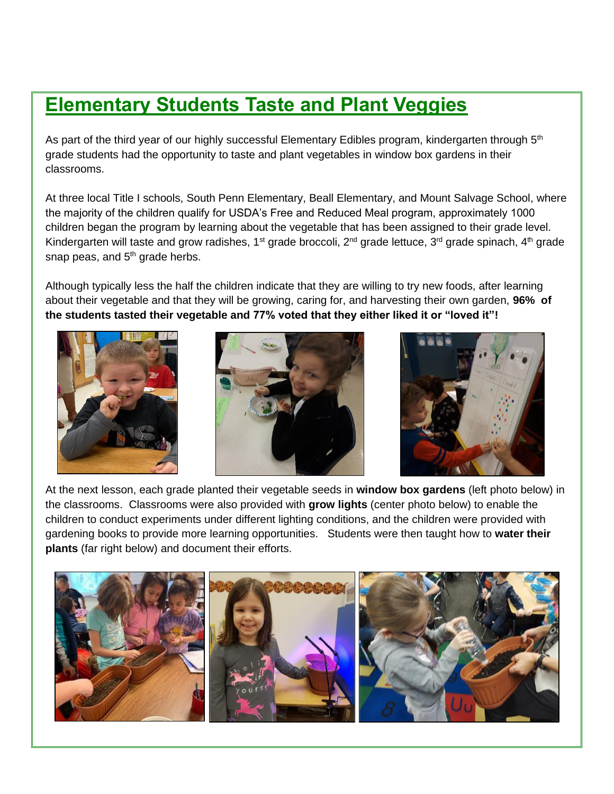### **Elementary Students Taste and Plant Veggies**

As part of the third year of our highly successful Elementary Edibles program, kindergarten through 5<sup>th</sup> grade students had the opportunity to taste and plant vegetables in window box gardens in their classrooms.

At three local Title I schools, South Penn Elementary, Beall Elementary, and Mount Salvage School, where the majority of the children qualify for USDA's Free and Reduced Meal program, approximately 1000 children began the program by learning about the vegetable that has been assigned to their grade level. Kindergarten will taste and grow radishes,  $1^{st}$  grade broccoli,  $2^{nd}$  grade lettuce,  $3^{rd}$  grade spinach,  $4^{th}$  grade snap peas, and  $5<sup>th</sup>$  grade herbs.

Although typically less the half the children indicate that they are willing to try new foods, after learning about their vegetable and that they will be growing, caring for, and harvesting their own garden, **96% of the students tasted their vegetable and 77% voted that they either liked it or "loved it"!**







At the next lesson, each grade planted their vegetable seeds in **window box gardens** (left photo below) in the classrooms. Classrooms were also provided with **grow lights** (center photo below) to enable the children to conduct experiments under different lighting conditions, and the children were provided with gardening books to provide more learning opportunities. Students were then taught how to **water their plants** (far right below) and document their efforts.